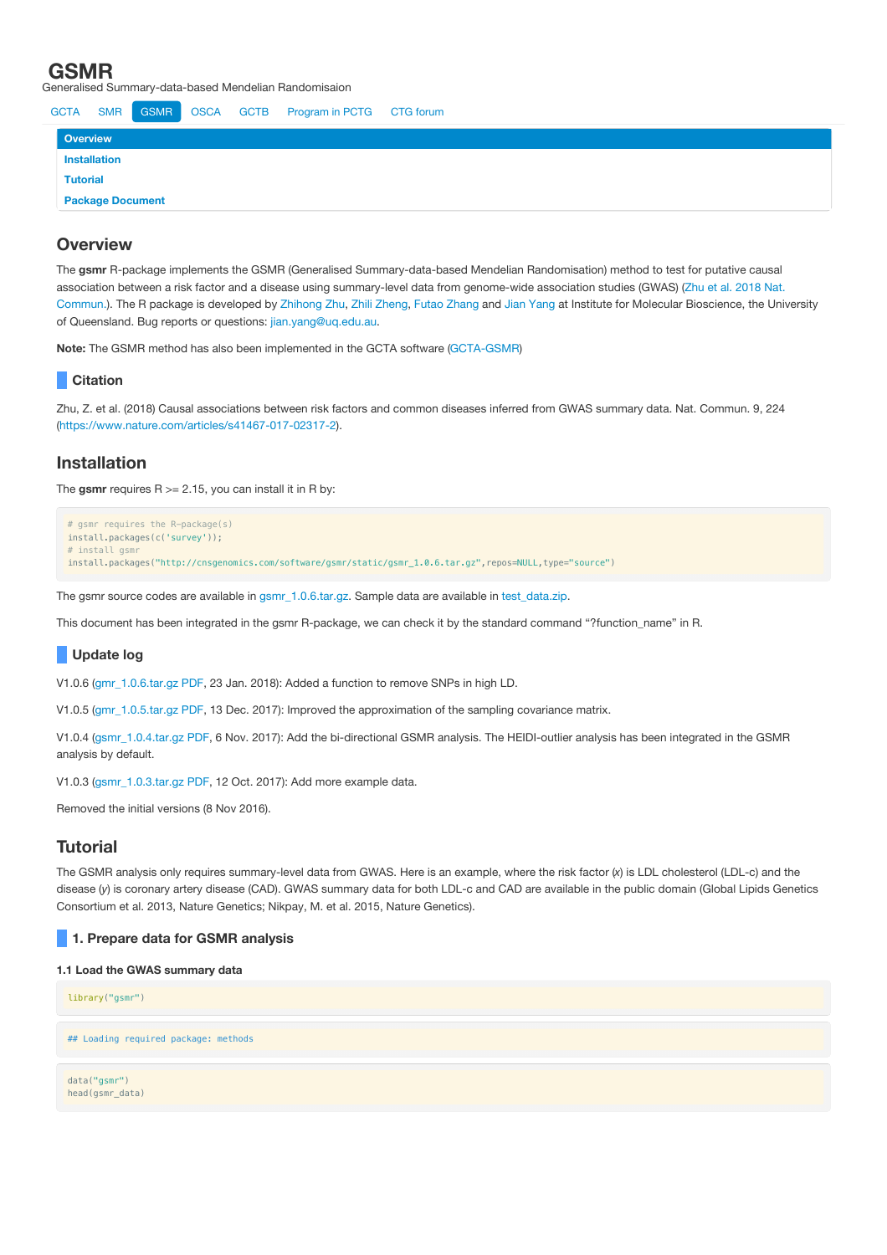Generalised Summary-data-based Mendelian Randomisaion



# **Overview**

The **gsmr** R-package implements the GSMR (Generalised Summary-data-based Mendelian Randomisation) method to test for putative causal association between a risk factor and a disease using [summary-level](https://www.nature.com/articles/s41467-017-02317-2) data from genome-wide association studies (GWAS) (Zhu et al. 2018 Nat. Commun.). The R package is developed by [Zhihong](mailto:z.zhu1@uq.edu.au) Zhu, Zhili [Zheng,](mailto:zhili.zheng@uq.edu.au) Futao [Zhang](mailto:futao.zhang@uq.edu.au) and Jian [Yang](http://researchers.uq.edu.au/researcher/2713) at Institute for Molecular Bioscience, the University of Queensland. Bug reports or questions: [jian.yang@uq.edu.au.](mailto:jian.yang@uq.edu.au)

**Note:** The GSMR method has also been implemented in the GCTA software [\(GCTA-GSMR](http://cnsgenomics.com/software/gcta/#GSMR))

# **Citation**

Zhu, Z. et al. (2018) Causal associations between risk factors and common diseases inferred from GWAS summary data. Nat. Commun. 9, 224 (<https://www.nature.com/articles/s41467-017-02317-2>).

# **Installation**

The gsmr requires  $R = 2.15$ , you can install it in R by:

```
# gsmr requires the R-package(s)
install.packages(c('survey'));
# install gsm
install.packages("http://cnsgenomics.com/software/gsmr/static/gsmr_1.0.6.tar.gz",repos=NULL,type="source")
```
The gsmr source codes are available in [gsmr\\_1.0.6.tar.gz.](http://cnsgenomics.com/software/gsmr/static/gsmr_1.0.6.tar.gz) Sample data are available in [test\\_data.zip](http://cnsgenomics.com/software/gsmr/static/test_data.zip).

This document has been integrated in the gsmr R-package, we can check it by the standard command "?function\_name" in R.

## **Update log**

V1.0.6 ([gmr\\_1.0.6.tar.gz](http://cnsgenomics.com/software/gsmr/static/gsmr_1.0.6.tar.gz) [PDF](http://cnsgenomics.com/software/gsmr/static/gsmr_doc_1.0.6.pdf), 23 Jan. 2018): Added a function to remove SNPs in high LD.

V1.0.5 ([gmr\\_1.0.5.tar.gz](http://cnsgenomics.com/software/gsmr/static/gsmr_1.0.5.tar.gz) [PDF](http://cnsgenomics.com/software/gsmr/static/gsmr_doc_1.0.5.pdf), 13 Dec. 2017): Improved the approximation of the sampling covariance matrix.

V1.0.4 ([gsmr\\_1.0.4.tar.gz](http://cnsgenomics.com/software/gsmr/static/gsmr_1.0.4.tar.gz) [PDF](http://cnsgenomics.com/software/gsmr/static/gsmr_doc_1.0.4.pdf), 6 Nov. 2017): Add the bi-directional GSMR analysis. The HEIDI-outlier analysis has been integrated in the GSMR analysis by default.

V1.0.3 ([gsmr\\_1.0.3.tar.gz](http://cnsgenomics.com/software/gsmr/static/gsmr_1.0.3.tar.gz) [PDF](http://cnsgenomics.com/software/gsmr/static/gsmr_doc_1.0.3.pdf), 12 Oct. 2017): Add more example data.

Removed the initial versions (8 Nov 2016).

# **Tutorial**

head(gsmr\_data)

The GSMR analysis only requires summary-level data from GWAS. Here is an example, where the risk factor (x) is LDL cholesterol (LDL-c) and the disease (*y*) is coronary artery disease (CAD). GWAS summary data for both LDL-c and CAD are available in the public domain (Global Lipids Genetics Consortium et al. 2013, Nature Genetics; Nikpay, M. et al. 2015, Nature Genetics).

## **1. Prepare data for GSMR analysis**

## **1.1 Load the GWAS summary data**

library("gsmr") ## Loading required package: methods data("gsmr")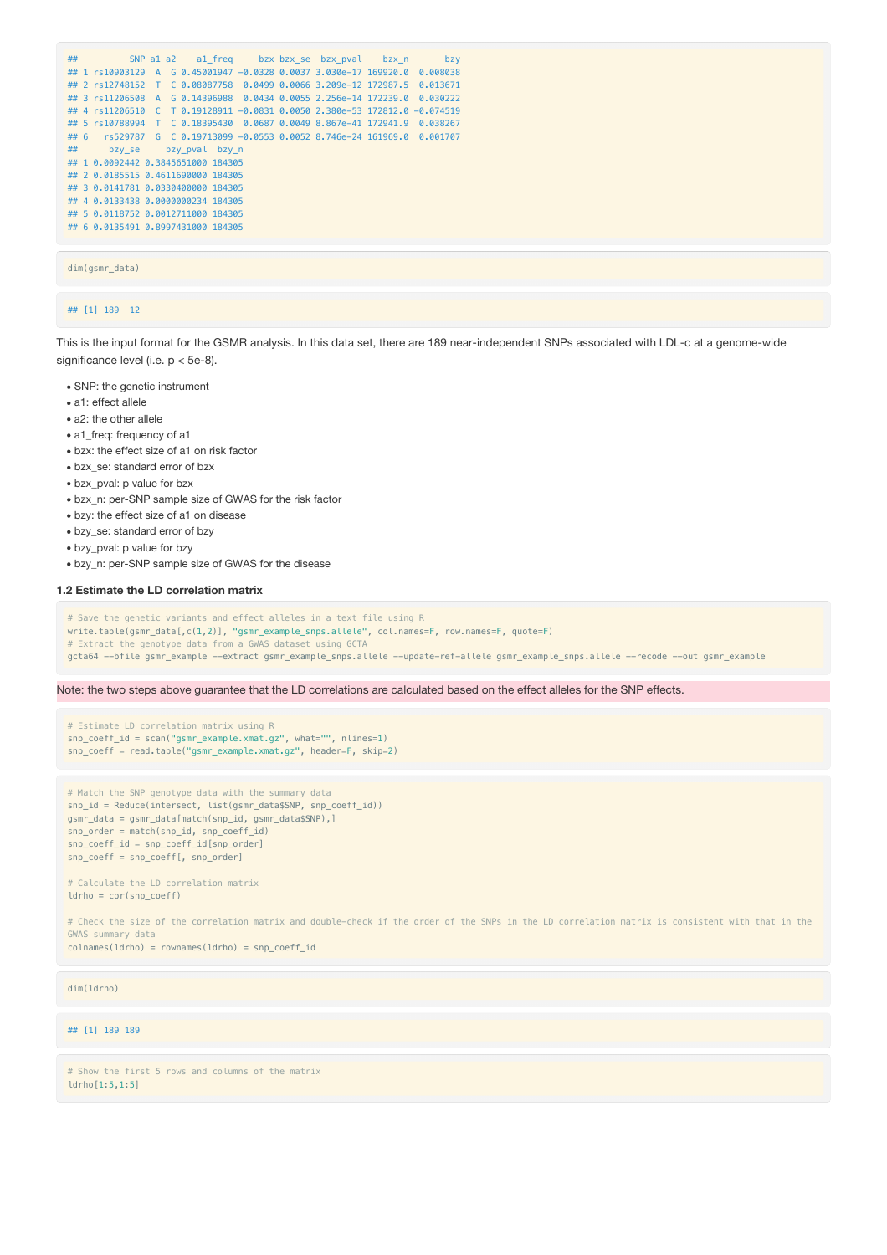| ## |                                                                            |  |  |  | SNP a1 a2 a1 freq bzx bzx se bzx pval bzx n | bzv |
|----|----------------------------------------------------------------------------|--|--|--|---------------------------------------------|-----|
|    | ## 1 rs10903129 A G 0.45001947 -0.0328 0.0037 3.030e-17 169920.0 0.008038  |  |  |  |                                             |     |
|    | ## 2 rs12748152 T C 0.08087758 0.0499 0.0066 3.209e-12 172987.5 0.013671   |  |  |  |                                             |     |
|    | ## 3 rs11206508 A G 0.14396988 0.0434 0.0055 2.256e-14 172239.0 0.030222   |  |  |  |                                             |     |
|    | ## 4 rs11206510 C T 0.19128911 -0.0831 0.0050 2.380e-53 172812.0 -0.074519 |  |  |  |                                             |     |
|    | ## 5 rs10788994 T C 0.18395430 0.0687 0.0049 8.867e-41 172941.9 0.038267   |  |  |  |                                             |     |
|    | ## 6 rs529787 G C 0.19713099 -0.0553 0.0052 8.746e-24 161969.0 0.001707    |  |  |  |                                             |     |
|    | ## bzy se bzy pval bzy n                                                   |  |  |  |                                             |     |
|    | ## 1 0.0092442 0.3845651000 184305                                         |  |  |  |                                             |     |
|    | ## 2 0.0185515 0.4611690000 184305                                         |  |  |  |                                             |     |
|    | ## 3 0.0141781 0.0330400000 184305                                         |  |  |  |                                             |     |
|    | ## 4 0.0133438 0.0000000234 184305                                         |  |  |  |                                             |     |
|    | ## 5 0.0118752 0.0012711000 184305                                         |  |  |  |                                             |     |
|    | ## 6 0.0135491 0.8997431000 184305                                         |  |  |  |                                             |     |

dim(gsmr\_data)

## ## [1] 189 12

This is the input format for the GSMR analysis. In this data set, there are 189 near-independent SNPs associated with LDL-c at a genome-wide significance level (i.e. p < 5e-8).

- SNP: the genetic instrument
- a1: effect allele
- a2: the other allele
- a1\_freq: frequency of a1
- bzx: the effect size of a1 on risk factor
- bzx\_se: standard error of bzx
- bzx\_pval: p value for bzx
- bzx\_n: per-SNP sample size of GWAS for the risk factor
- bzy: the effect size of a1 on disease
- bzy\_se: standard error of bzy
- bzy\_pval: p value for bzy
- bzy\_n: per-SNP sample size of GWAS for the disease

#### **1.2 Estimate the LD correlation matrix**

- # Save the genetic variants and effect alleles in a text file using R
- write.table(gsmr\_data[,c(1,2)], "gsmr\_example\_snps.allele", col.names=F, row.names=F, quote=F)
- # Extract the genotype data from a GWAS dataset using GCTA
- gcta64 --bfile gsmr\_example --extract gsmr\_example\_snps.allele --update-ref-allele gsmr\_example\_snps.allele --recode --out gsmr\_example

Note: the two steps above guarantee that the LD correlations are calculated based on the effect alleles for the SNP effects.

```
# Estimate LD correlation matrix using R
snp\_coeff\_id = scan("gsm\_example.xml.gz", what="", nlines=1)snp_coeff = read.table("gsmr_example.xmat.gz", header=F, skip=2)
```

```
# Match the SNP genotype data with the summary data
snp_id = Reduce(intersect, list(gsmr_data$SNP, snp_coeff_id))
gsmr_data = gsmr_data[match(snp_id, gsmr_data$SNP),]
snp_order = match(snp_id, snp_coeff_id)
snp_coeff_id = snp_coeff_id[snp_order]
snp_coeff = snp_coeff[, snp_order]
```
# Calculate the LD correlation matrix ldrho = cor(snp\_coeff)

# Check the size of the correlation matrix and double-check if the order of the SNPs in the LD correlation matrix is consistent with that in the GWAS summary data

colnames(ldrho) = rownames(ldrho) = snp\_coeff\_id

dim(ldrho)

## [1] 189 189

# Show the first 5 rows and columns of the matrix ldrho[1:5,1:5]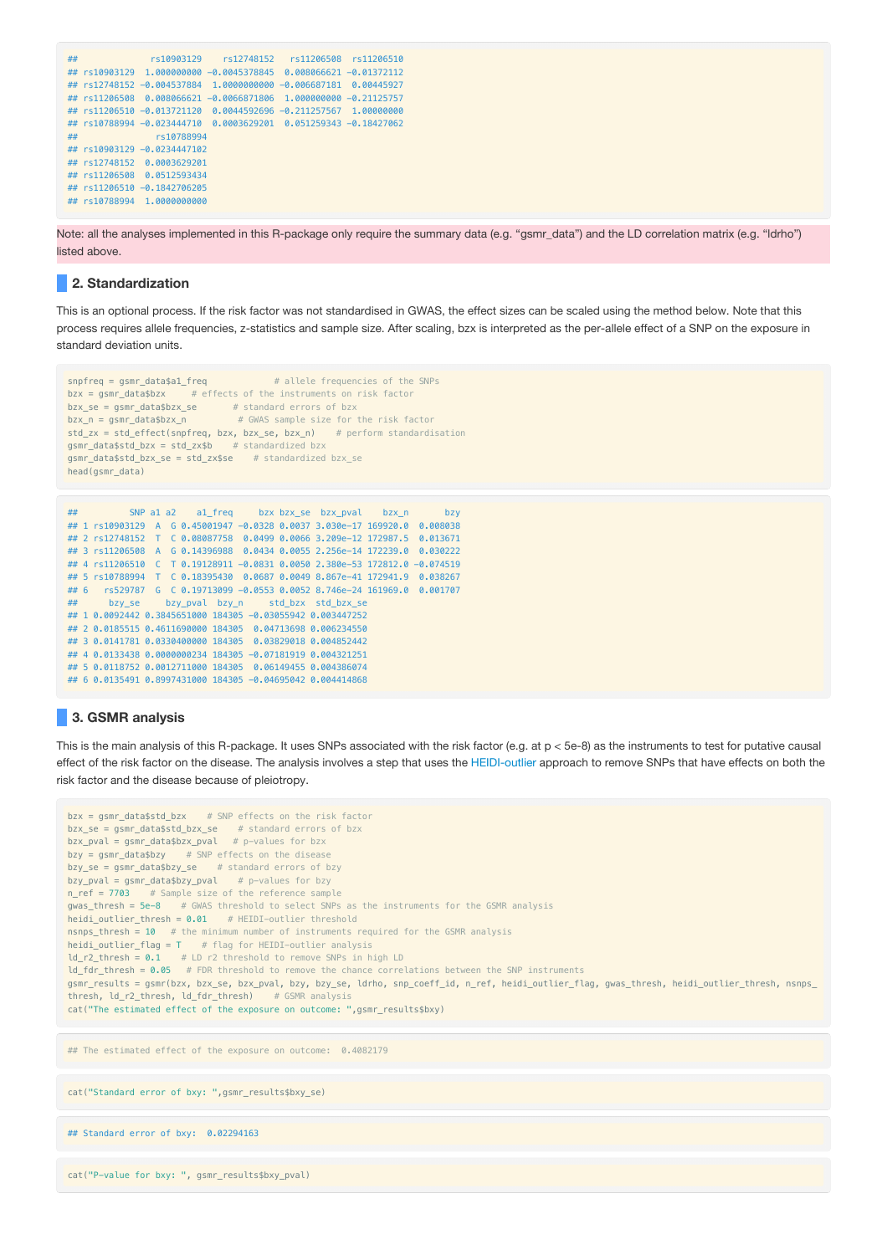```
## rs10903129 rs12748152 rs11206508 rs11206510
## rs10903129 1.000000000 -0.0045378845 0.008066621 -0.01372112
## rs12748152 -0.004537884 1.0000000000 -0.006687181 0.00445927
## rs11206508 0.008066621 -0.0066871806 1.000000000 -0.21125757
## rs11206510 -0.013721120 0.0044592696 -0.211257567 1.00000000
## rs10788994 -0.023444710 0.0003629201 0.051259343 -0.18427062
## rs10788994
## rs10903129 -0.0234447102
## rs12748152 0.0003629201
## rs11206508 0.0512593434
## rs11206510 -0.1842706205
## rs10788994 1.0000000000
```
Note: all the analyses implemented in this R-package only require the summary data (e.g. "gsmr\_data") and the LD correlation matrix (e.g. "ldrho") listed above.

# **2. Standardization**

This is an optional process. If the risk factor was not standardised in GWAS, the effect sizes can be scaled using the method below. Note that this process requires allele frequencies, z-statistics and sample size. After scaling, bzx is interpreted as the per-allele effect of a SNP on the exposure in standard deviation units.

```
snpfreq = gsmr_data$a1_freq # allele frequencies of the SNPs
bzx = asmr data$bzx # effects of the instruments on risk factor
bzx_se = gsmr_data$bzx_se # standard errors of bzx
bzx_n = gsmr_data$bzx_n # GWAS sample size for the risk factor
std_zx = std_effect(snpfreq, bzx, bzx_se, bzx_n) # perform standardisation
gsmr_data$std_bzx = std_zx$b # standardized bzx
gsmr data$std bzx se = std zx$se # standardized bzx se
head(gsmr_data)
```

```
## SNP a1 a2 a1_freq bzx bzx_se bzx_pval bzx_n bzy
## 1 rs10903129 A G 0.45001947 -0.0328 0.0037 3.030e-17 169920.0 0.008038
## 2 rs12748152 T C 0.08087758 0.0499 0.0066 3.209e-12 172987.5 0.013671
## 3 rs11206508 A G 0.14396988 0.0434 0.0055 2.256e-14 172239.0 0.030222
## 4 rs11206510 C T 0.19128911 -0.0831 0.0050 2.380e-53 172812.0 -0.074519
## 5 rs10788994 T C 0.18395430 0.0687 0.0049 8.867e-41 172941.9 0.038267
## 6 rs529787 G C 0.19713099 -0.0553 0.0052 8.746e-24 161969.0 0.001707
## bzy_se bzy_pval bzy_n std_bzx std_bzx_se
## 1 0.0092442 0.3845651000 184305 -0.03055942 0.003447252
## 2 0.0185515 0.4611690000 184305 0.04713698 0.006234550
## 3 0.0141781 0.0330400000 184305 0.03829018 0.004852442
## 4 0.0133438 0.0000000234 184305 -0.07181919 0.004321251
## 5 0.0118752 0.0012711000 184305 0.06149455 0.004386074
## 6 0.0135491 0.8997431000 184305 -0.04695042 0.004414868
```
## **3. GSMR analysis**

This is the main analysis of this R-package. It uses SNPs associated with the risk factor (e.g. at p < 5e-8) as the instruments to test for putative causal effect of the risk factor on the disease. The analysis involves a step that uses the [HEIDI-outlier](#page-3-0) approach to remove SNPs that have effects on both the risk factor and the disease because of pleiotropy.

```
bzx = gsmr_data$std_bzx # SNP effects on the risk factor
bzx_se = gsmr_data$std_bzx_se # standard errors of bzx
bzx_pval = gsmr_data$bzx_pval # p-values for bzx
bzw = asmr data$bzy # SNP effects on the disease
bzy_se = gsmr_data$bzy_se # standard errors of bzy
bzy_pval = gsmr_data$bzy_pval # p-values for bzy
n_{ref} = 7703 # Sample size of the reference sample
gwas_thresh = 5e-8 # GWAS threshold to select SNPs as the instruments for the GSMR analysis
heidi_outlier_thresh = 0.01 # HEIDI-outlier threshold
nsnps_thresh = 10 # the minimum number of instruments required for the GSMR analysis
heidi_outlier_flag = T # flag for HEIDI-outlier analysis
ld_r2_thresh = 0.1 # LD r2 threshold to remove SNPs in high LD
ld fdr thresh = 0.05 # FDR threshold to remove the chance correlations between the SNP instruments
gsmr_results = gsmr(bzx, bzx_se, bzx_pval, bzy, bzy_se, ldrho, snp_coeff_id, n_ref, heidi_outlier_flag, gwas_thresh, heidi_outlier_thresh, nsnps_
thresh, ld_r2_thresh, ld_fdr_thresh) # GSMR analysis
cat("The estimated effect of the exposure on outcome: ",gsmr_results$bxy)
## The estimated effect of the exposure on outcome: 0.4082179
```
cat("Standard error of bxy: ",gsmr\_results\$bxy\_se)

```
## Standard error of bxy: 0.02294163
```

```
cat("P-value for bxy: ", gsmr_results$bxy_pval)
```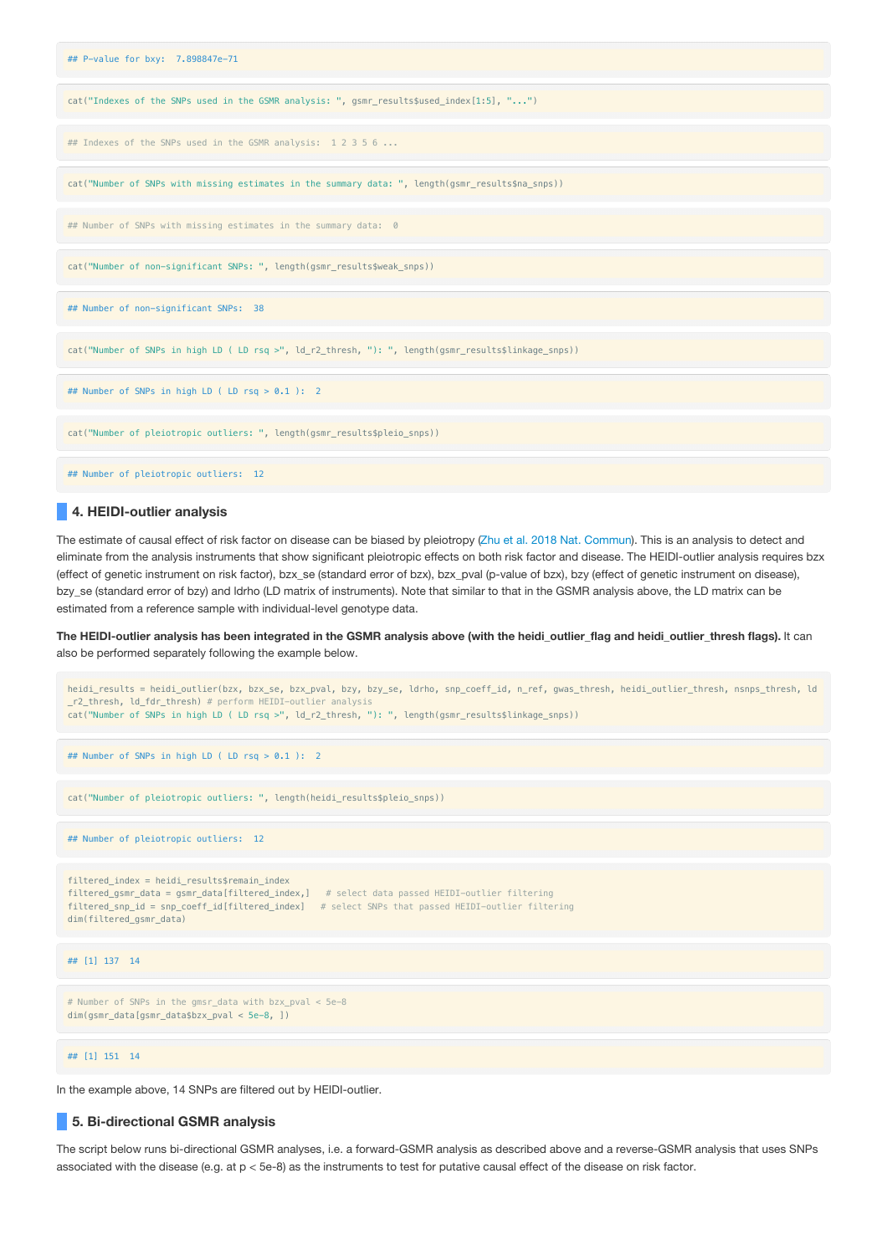| ## P-value for bxy: 7.898847e-71                                                                     |
|------------------------------------------------------------------------------------------------------|
| cat("Indexes of the SNPs used in the GSMR analysis: ", gsmr_results\$used_index[1:5], "")            |
| ## Indexes of the SNPs used in the GSMR analysis: 1 2 3 5 6                                          |
| cat("Number of SNPs with missing estimates in the summary data: ", length(gsmr_results\$na_snps))    |
| ## Number of SNPs with missing estimates in the summary data: 0                                      |
| cat("Number of non-significant SNPs: ", length(gsmr_results\$weak_snps))                             |
| ## Number of non-significant SNPs: 38                                                                |
| cat("Number of SNPs in high LD ( LD rsq >", ld_r2_thresh, "): ", length(gsmr_results\$linkage_snps)) |
| ## Number of SNPs in high LD ( LD rsq > 0.1 ): 2                                                     |
| cat("Number of pleiotropic outliers: ", length(gsmr_results\$pleio_snps))                            |
| ## Number of pleiotropic outliers: 12                                                                |

## <span id="page-3-0"></span>**4. HEIDI-outlier analysis**

The estimate of causal effect of risk factor on disease can be biased by pleiotropy (Zhu et al. 2018 Nat. [Commun](https://www.nature.com/articles/s41467-017-02317-2)). This is an analysis to detect and eliminate from the analysis instruments that show significant pleiotropic effects on both risk factor and disease. The HEIDI-outlier analysis requires bzx (effect of genetic instrument on risk factor), bzx\_se (standard error of bzx), bzx\_pval (p-value of bzx), bzy (effect of genetic instrument on disease), bzy\_se (standard error of bzy) and ldrho (LD matrix of instruments). Note that similar to that in the GSMR analysis above, the LD matrix can be estimated from a reference sample with individual-level genotype data.

The HEIDI-outlier analysis has been integrated in the GSMR analysis above (with the heidi\_outlier\_flag and heidi\_outlier\_thresh flags). It can also be performed separately following the example below.



In the example above, 14 SNPs are filtered out by HEIDI-outlier.

# **5. Bi-directional GSMR analysis**

The script below runs bi-directional GSMR analyses, i.e. a forward-GSMR analysis as described above and a reverse-GSMR analysis that uses SNPs associated with the disease (e.g. at p < 5e-8) as the instruments to test for putative causal effect of the disease on risk factor.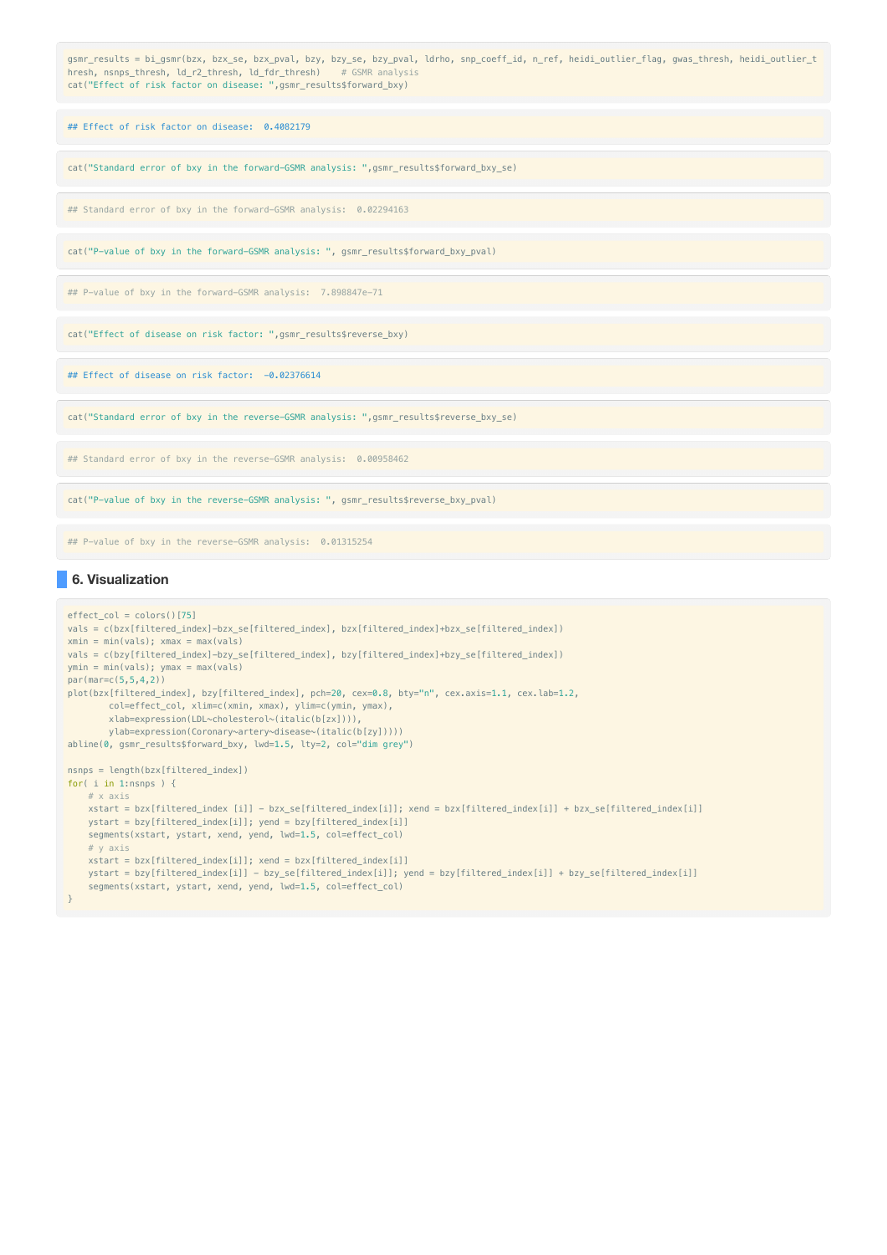| gsmr_results = bi_gsmr(bzx, bzx_se, bzx_pval, bzy, bzy_se, bzy_pval, ldrho, snp_coeff_id, n_ref, heidi_outlier_flag, gwas_thresh, heidi_outlier_t<br>hresh, nsnps_thresh, ld_r2_thresh, ld_fdr_thresh) # GSMR analysis<br>cat("Effect of risk factor on disease: ", gsmr_results\$forward_bxy) |
|------------------------------------------------------------------------------------------------------------------------------------------------------------------------------------------------------------------------------------------------------------------------------------------------|
| ## Effect of risk factor on disease: 0.4082179                                                                                                                                                                                                                                                 |
| cat("Standard error of bxy in the forward-GSMR analysis: ", gsmr_results\$forward_bxy_se)                                                                                                                                                                                                      |
| ## Standard error of bxy in the forward-GSMR analysis: 0.02294163                                                                                                                                                                                                                              |
| cat("P-value of bxy in the forward-GSMR analysis: ", gsmr_results\$forward_bxy_pval)                                                                                                                                                                                                           |
| ## P-value of bxy in the forward-GSMR analysis: 7.898847e-71                                                                                                                                                                                                                                   |
| cat("Effect of disease on risk factor: ", gsmr_results\$reverse_bxy)                                                                                                                                                                                                                           |
| ## Effect of disease on risk factor: -0.02376614                                                                                                                                                                                                                                               |
| cat("Standard error of bxy in the reverse-GSMR analysis: ", qsmr_results\$reverse_bxy_se)                                                                                                                                                                                                      |
| ## Standard error of bxy in the reverse-GSMR analysis: 0.00958462                                                                                                                                                                                                                              |
| cat("P-value of bxy in the reverse-GSMR analysis: ", gsmr_results\$reverse_bxy_pval)                                                                                                                                                                                                           |
|                                                                                                                                                                                                                                                                                                |

## P-value of bxy in the reverse-GSMR analysis: 0.01315254

# **6. Visualization**

```
effect\_col = colors()[75]
vals = c(bzx[filtered_index]-bzx_se[filtered_index], bzx[filtered_index]+bzx_se[filtered_index])
xmin = min(vals); xmax = max(vals){\tt vals} = {\tt c(bzy[filtered\_index]-bzy\_se[filtered\_index]}, ~by[filtered\_index]+bzy\_se[filtered\_index]})ymin = min(vals); ymax = max(vals)
par(mar=c(5,5,4,2))
plot(bzx[filtered_index], bzy[filtered_index], pch=20, cex=0.8, bty="n", cex.axis=1.1, cex.lab=1.2,
       col=effect_col, xlim=c(xmin, xmax), ylim=c(ymin, ymax),
        xlab=expression(LDL~cholesterol~(italic(b[zx]))),
        ylab=expression(Coronary~artery~disease~(italic(b[zy]))))
abline(0, gsmr_results$forward_bxy, lwd=1.5, lty=2, col="dim grey")
nsnps = length(bzx[filtered_index])
for( i in 1:nsnps ) {
   # x axis
   xstart = bzx[filtered_index [i]] - bzx_se[filtered_index[i]]; xend = bzx[filtered_index[i]] + bzx_se[filtered_index[i]]
   ystart = bzy[filtered_index[i]]; yend = bzy[filtered_index[i]]
   segments(xstart, ystart, xend, yend, lwd=1.5, col=effect_col)
   # y axis
   xstart = bzx[filtered_index[i]]; xend = bzx[filtered_index[i]]
   ystart = bzy[filtered_index[i]] - bzy_se[filtered_index[i]]; yend = bzy[filtered_index[i]] + bzy_se[filtered_index[i]]
    segments(xstart, ystart, xend, yend, lwd=1.5, col=effect_col)
}
```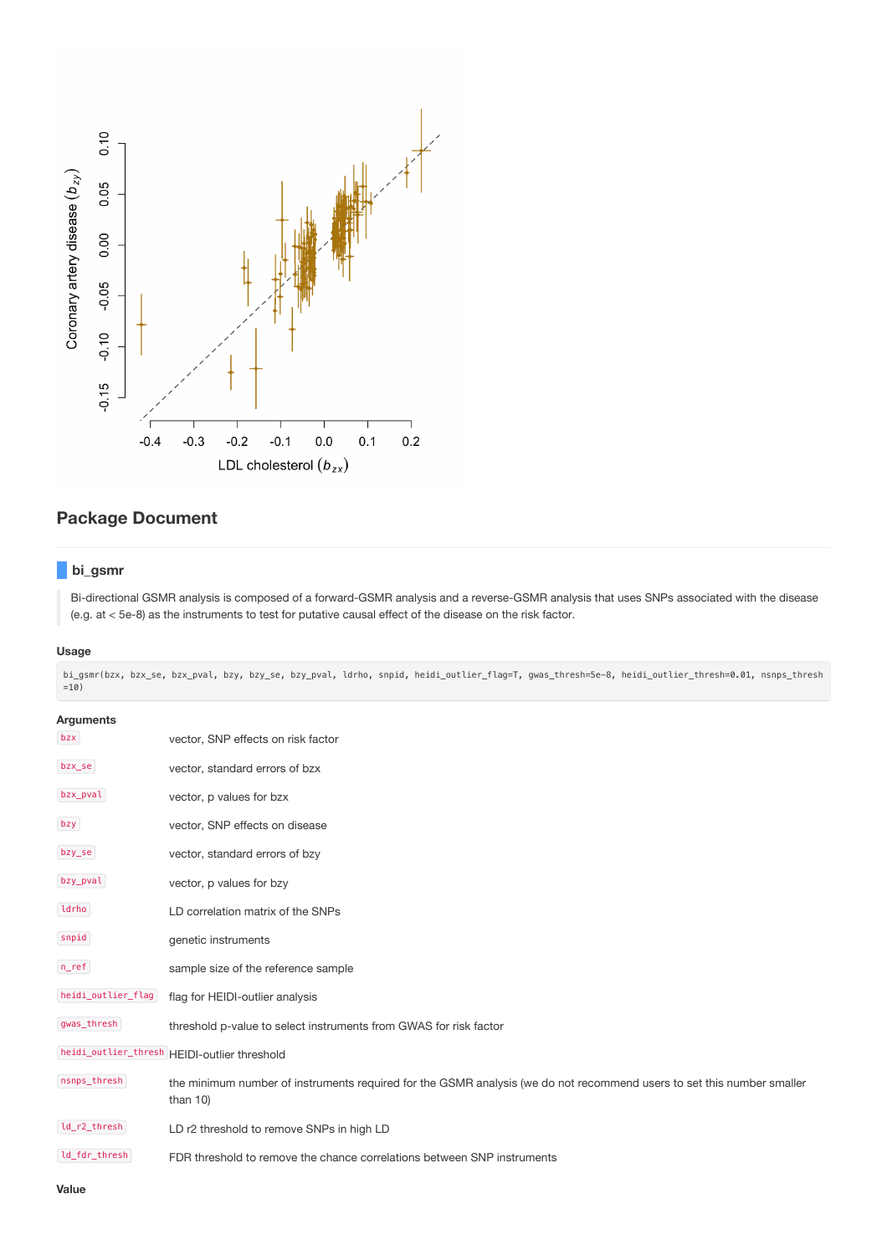

# **Package Document**

# **bi\_gsmr**

Bi-directional GSMR analysis is composed of a forward-GSMR analysis and a reverse-GSMR analysis that uses SNPs associated with the disease (e.g. at < 5e-8) as the instruments to test for putative causal effect of the disease on the risk factor.

### **Usage**

bi\_gsmr(bzx, bzx\_se, bzx\_pval, bzy, bzy\_se, bzy\_pval, ldrho, snpid, heidi\_outlier\_flag=T, gwas\_thresh=5e-8, heidi\_outlier\_thresh=0.01, nsnps\_thresh  $=10)$ 

| <b>Arguments</b>                             |                                                                                                                                       |  |  |  |
|----------------------------------------------|---------------------------------------------------------------------------------------------------------------------------------------|--|--|--|
| bzx                                          | vector, SNP effects on risk factor                                                                                                    |  |  |  |
| bzx_se                                       | vector, standard errors of bzx                                                                                                        |  |  |  |
| bzx_pval                                     | vector, p values for bzx                                                                                                              |  |  |  |
| bzy                                          | vector, SNP effects on disease                                                                                                        |  |  |  |
| bzy_se                                       | vector, standard errors of bzy                                                                                                        |  |  |  |
| bzy_pval                                     | vector, p values for bzy                                                                                                              |  |  |  |
| ldrho                                        | LD correlation matrix of the SNPs                                                                                                     |  |  |  |
| snpid                                        | genetic instruments                                                                                                                   |  |  |  |
| $n_{ref}$                                    | sample size of the reference sample                                                                                                   |  |  |  |
| heidi_outlier_flag                           | flag for HEIDI-outlier analysis                                                                                                       |  |  |  |
| gwas_thresh                                  | threshold p-value to select instruments from GWAS for risk factor                                                                     |  |  |  |
| heidi_outlier_thresh HEIDI-outlier threshold |                                                                                                                                       |  |  |  |
| nsnps_thresh                                 | the minimum number of instruments required for the GSMR analysis (we do not recommend users to set this number smaller<br>than $10$ ) |  |  |  |
| ld_r2_thresh                                 | LD r2 threshold to remove SNPs in high LD                                                                                             |  |  |  |
| ld_fdr_thresh                                | FDR threshold to remove the chance correlations between SNP instruments                                                               |  |  |  |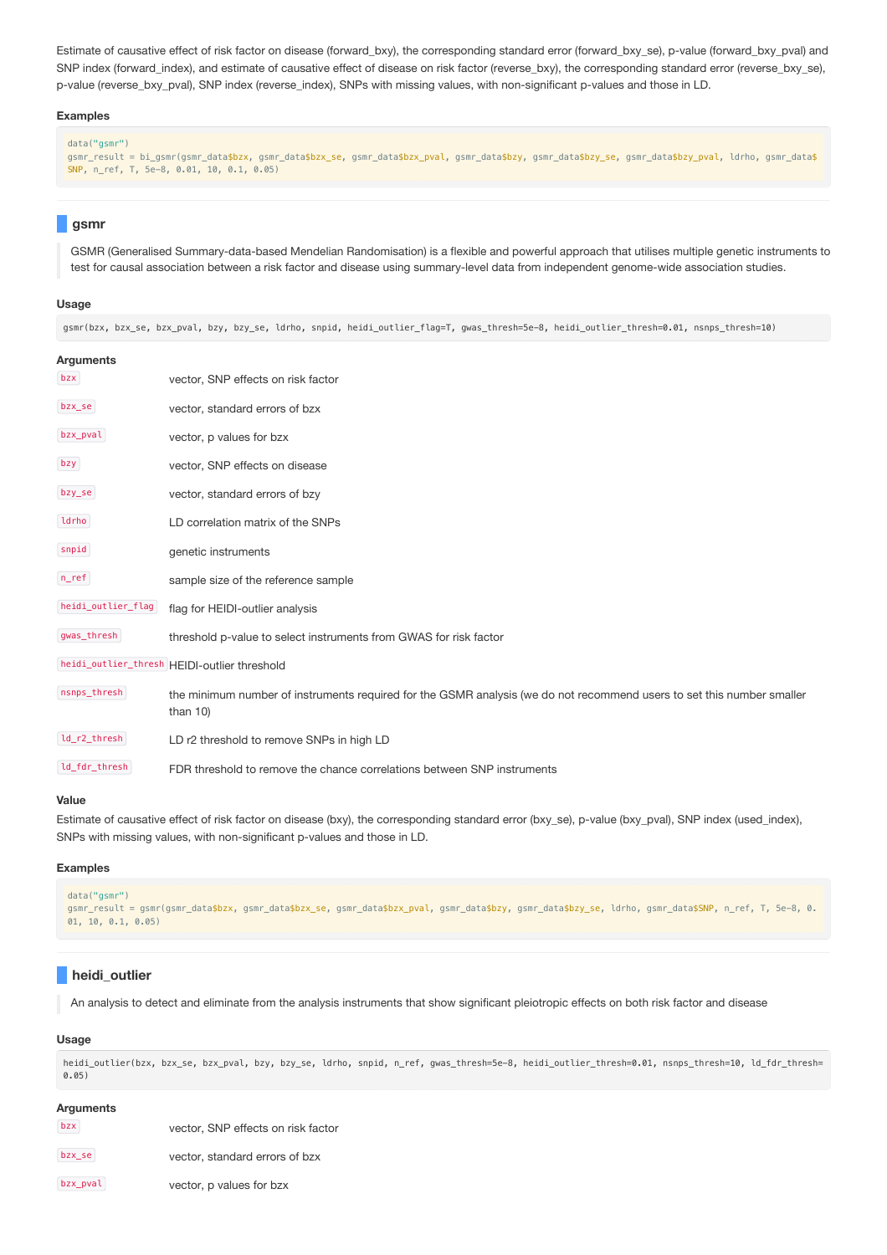Estimate of causative effect of risk factor on disease (forward\_bxy), the corresponding standard error (forward\_bxy\_se), p-value (forward\_bxy\_pval) and SNP index (forward\_index), and estimate of causative effect of disease on risk factor (reverse\_bxy), the corresponding standard error (reverse\_bxy\_se), p-value (reverse\_bxy\_pval), SNP index (reverse\_index), SNPs with missing values, with non-significant p-values and those in LD.

#### **Examples**

```
data("gsmr")
```
gsmr\_result = bi\_gsmr(gsmr\_data\$bzx, gsmr\_data\$bzx\_se, gsmr\_data\$bzx\_pval, gsmr\_data\$bzy, gsmr\_data\$bzy\_se, gsmr\_data\$bzy\_pval, ldrho, gsmr\_data\$ SNP, n\_ref, T, 5e-8, 0.01, 10, 0.1, 0.05)

## **gsmr**

GSMR (Generalised Summary-data-based Mendelian Randomisation) is a flexible and powerful approach that utilises multiple genetic instruments to test for causal association between a risk factor and disease using summary-level data from independent genome-wide association studies.

#### **Usage**

gsmr(bzx, bzx\_se, bzx\_pval, bzy, bzy\_se, ldrho, snpid, heidi\_outlier\_flag=T, gwas\_thresh=5e-8, heidi\_outlier\_thresh=0.01, nsnps\_thresh=10)

| <b>Arguments</b>   |                                                                                                                                       |
|--------------------|---------------------------------------------------------------------------------------------------------------------------------------|
| bzx                | vector, SNP effects on risk factor                                                                                                    |
| bzx_se             | vector, standard errors of bzx                                                                                                        |
| bzx_pval           | vector, p values for bzx                                                                                                              |
| bzy                | vector, SNP effects on disease                                                                                                        |
| bzy_se             | vector, standard errors of bzy                                                                                                        |
| ldrho              | LD correlation matrix of the SNPs                                                                                                     |
| snpid              | genetic instruments                                                                                                                   |
| $n$ _ref           | sample size of the reference sample                                                                                                   |
| heidi_outlier_flag | flag for HEIDI-outlier analysis                                                                                                       |
| gwas_thresh        | threshold p-value to select instruments from GWAS for risk factor                                                                     |
|                    | heidi_outlier_thresh HEIDI-outlier threshold                                                                                          |
| nsnps_thresh       | the minimum number of instruments required for the GSMR analysis (we do not recommend users to set this number smaller<br>than $10$ ) |
| ld_r2_thresh       | LD r2 threshold to remove SNPs in high LD                                                                                             |
| ld_fdr_thresh      | FDR threshold to remove the chance correlations between SNP instruments                                                               |

#### **Value**

Estimate of causative effect of risk factor on disease (bxy), the corresponding standard error (bxy\_se), p-value (bxy\_pval), SNP index (used\_index), SNPs with missing values, with non-significant p-values and those in LD.

#### **Examples**

```
data("gsmr")
gsmr_result = gsmr(gsmr_data$bzx, gsmr_data$bzx_se, gsmr_data$bzx_pval, gsmr_data$bzy, gsmr_data$bzy_se, ldrho, gsmr_data$SNP, n_ref, T, 5e-8, 0.
01, 10, 0.1, 0.05
```
# **heidi\_outlier**

An analysis to detect and eliminate from the analysis instruments that show significant pleiotropic effects on both risk factor and disease

## **Usage**

heidi\_outlier(bzx, bzx\_se, bzx\_pval, bzy, bzy\_se, ldrho, snpid, n\_ref, gwas\_thresh=5e-8, heidi\_outlier\_thresh=0.01, nsnps\_thresh=10, ld\_fdr\_thresh= 0.05)

## **Arguments**

| bzx      | vector, SNP effects on risk factor |
|----------|------------------------------------|
| bzx_se   | vector, standard errors of bzx     |
| bzx_pval | vector, p values for bzx           |